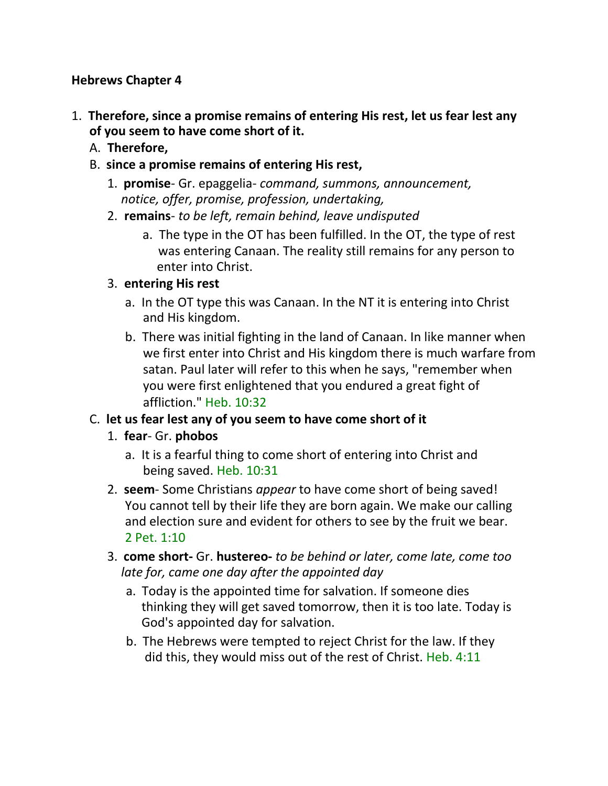#### **Hebrews Chapter 4**

- 1. **Therefore, since a promise remains of entering His rest, let us fear lest any of you seem to have come short of it.**
	- A. **Therefore,**
	- B. **since a promise remains of entering His rest,**
		- 1. **promise** Gr. epaggelia- *command, summons, announcement, notice, offer, promise, profession, undertaking,*
		- 2. **remains** *to be left, remain behind, leave undisputed*
			- a. The type in the OT has been fulfilled. In the OT, the type of rest was entering Canaan. The reality still remains for any person to enter into Christ.

#### 3. **entering His rest**

- a. In the OT type this was Canaan. In the NT it is entering into Christ and His kingdom.
- b. There was initial fighting in the land of Canaan. In like manner when we first enter into Christ and His kingdom there is much warfare from satan. Paul later will refer to this when he says, "remember when you were first enlightened that you endured a great fight of affliction." Heb. 10:32

## C. **let us fear lest any of you seem to have come short of it**

- 1. **fear** Gr. **phobos**
	- a. It is a fearful thing to come short of entering into Christ and being saved. Heb. 10:31
- 2. **seem** Some Christians *appear* to have come short of being saved! You cannot tell by their life they are born again. We make our calling and election sure and evident for others to see by the fruit we bear. 2 Pet. 1:10
- 3. **come short-** Gr. **hustereo-** *to be behind or later, come late, come too late for, came one day after the appointed day*
	- a. Today is the appointed time for salvation. If someone dies thinking they will get saved tomorrow, then it is too late. Today is God's appointed day for salvation.
	- b. The Hebrews were tempted to reject Christ for the law. If they did this, they would miss out of the rest of Christ. Heb. 4:11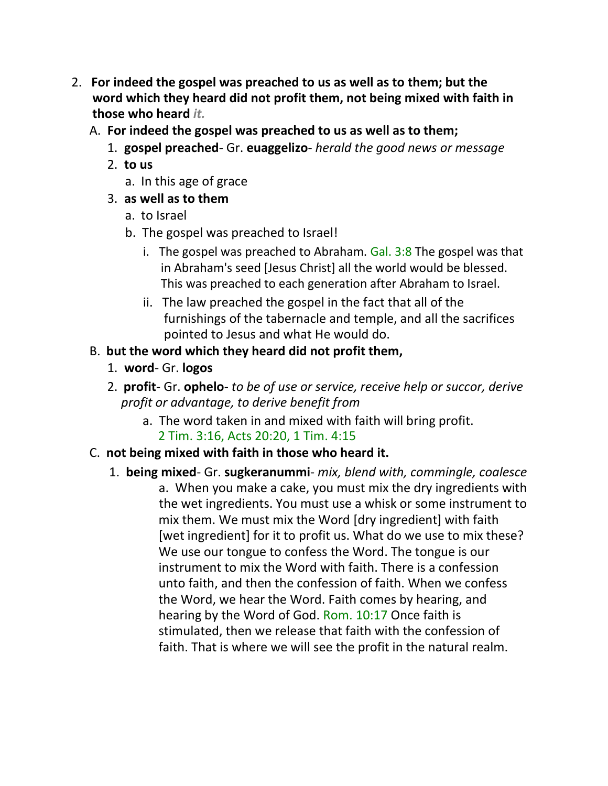- 2. **For indeed the gospel was preached to us as well as to them; but the word which they heard did not profit them, not being mixed with faith in those who heard** *it.*
	- A. **For indeed the gospel was preached to us as well as to them;**
		- 1. **gospel preached** Gr. **euaggelizo** *herald the good news or message*
		- 2. **to us**
			- a. In this age of grace
		- 3. **as well as to them**
			- a. to Israel
			- b. The gospel was preached to Israel!
				- i. The gospel was preached to Abraham.  $Gal. 3:8$  The gospel was that in Abraham's seed [Jesus Christ] all the world would be blessed. This was preached to each generation after Abraham to Israel.
				- ii. The law preached the gospel in the fact that all of the furnishings of the tabernacle and temple, and all the sacrifices pointed to Jesus and what He would do.

## B. **but the word which they heard did not profit them,**

- 1. **word** Gr. **logos**
- 2. **profit** Gr. **ophelo** *to be of use or service, receive help or succor, derive profit or advantage, to derive benefit from*
	- a. The word taken in and mixed with faith will bring profit. 2 Tim. 3:16, Acts 20:20, 1 Tim. 4:15

## C. **not being mixed with faith in those who heard it.**

1. **being mixed**- Gr. **sugkeranummi**- *mix, blend with, commingle, coalesce* a. When you make a cake, you must mix the dry ingredients with the wet ingredients. You must use a whisk or some instrument to mix them. We must mix the Word [dry ingredient] with faith [wet ingredient] for it to profit us. What do we use to mix these? We use our tongue to confess the Word. The tongue is our instrument to mix the Word with faith. There is a confession unto faith, and then the confession of faith. When we confess the Word, we hear the Word. Faith comes by hearing, and hearing by the Word of God. Rom. 10:17 Once faith is stimulated, then we release that faith with the confession of faith. That is where we will see the profit in the natural realm.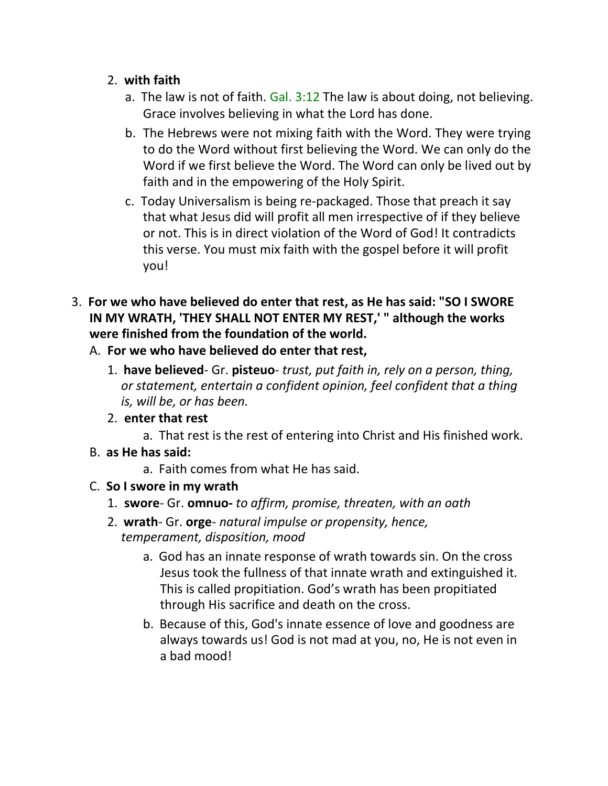#### 2. **with faith**

- a. The law is not of faith. Gal. 3:12 The law is about doing, not believing. Grace involves believing in what the Lord has done.
- b. The Hebrews were not mixing faith with the Word. They were trying to do the Word without first believing the Word. We can only do the Word if we first believe the Word. The Word can only be lived out by faith and in the empowering of the Holy Spirit.
- c. Today Universalism is being re-packaged. Those that preach it say that what Jesus did will profit all men irrespective of if they believe or not. This is in direct violation of the Word of God! It contradicts this verse. You must mix faith with the gospel before it will profit you!
- 3. **For we who have believed do enter that rest, as He has said: "SO I SWORE IN MY WRATH, 'THEY SHALL NOT ENTER MY REST,' " although the works were finished from the foundation of the world.**
	- A. **For we who have believed do enter that rest,**
		- 1. **have believed** Gr. **pisteuo** *trust, put faith in, rely on a person, thing, or statement, entertain a confident opinion, feel confident that a thing is, will be, or has been.*
		- 2. **enter that rest**
			- a. That rest is the rest of entering into Christ and His finished work.
	- B. **as He has said:**
		- a. Faith comes from what He has said.
	- C. **So I swore in my wrath**
		- 1. **swore** Gr. **omnuo-** *to affirm, promise, threaten, with an oath*
		- 2. **wrath** Gr. **orge** *natural impulse or propensity, hence, temperament, disposition, mood*
			- a. God has an innate response of wrath towards sin. On the cross Jesus took the fullness of that innate wrath and extinguished it. This is called propitiation. God's wrath has been propitiated through His sacrifice and death on the cross.
			- b. Because of this, God's innate essence of love and goodness are always towards us! God is not mad at you, no, He is not even in a bad mood!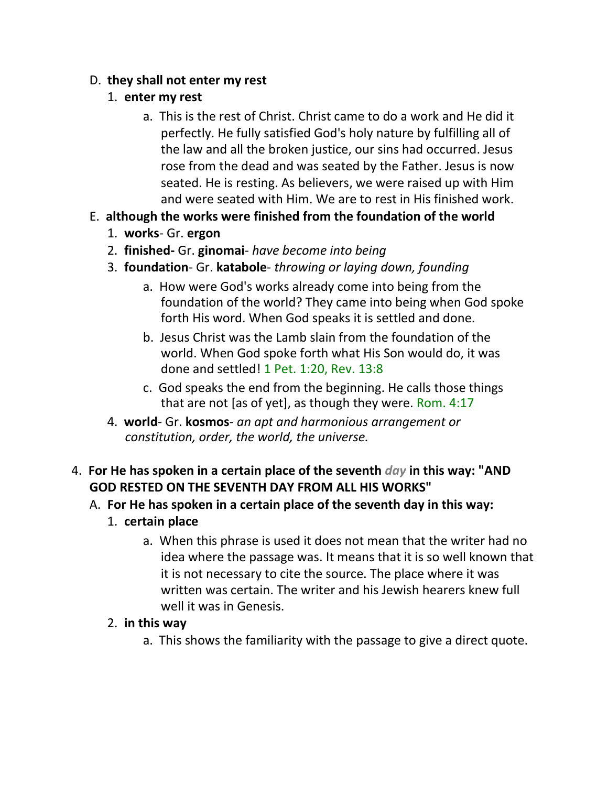## D. **they shall not enter my rest**

## 1. **enter my rest**

- a. This is the rest of Christ. Christ came to do a work and He did it perfectly. He fully satisfied God's holy nature by fulfilling all of the law and all the broken justice, our sins had occurred. Jesus rose from the dead and was seated by the Father. Jesus is now seated. He is resting. As believers, we were raised up with Him and were seated with Him. We are to rest in His finished work.
- E. **although the works were finished from the foundation of the world**
	- 1. **works** Gr. **ergon**
	- 2. **finished-** Gr. **ginomai** *have become into being*
	- 3. **foundation** Gr. **katabole** *throwing or laying down, founding*
		- a. How were God's works already come into being from the foundation of the world? They came into being when God spoke forth His word. When God speaks it is settled and done.
		- b. Jesus Christ was the Lamb slain from the foundation of the world. When God spoke forth what His Son would do, it was done and settled! 1 Pet. 1:20, Rev. 13:8
		- c. God speaks the end from the beginning. He calls those things that are not [as of yet], as though they were. Rom. 4:17
	- 4. **world** Gr. **kosmos** *an apt and harmonious arrangement or constitution, order, the world, the universe.*
- 4. **For He has spoken in a certain place of the seventh** *day* **in this way: "AND GOD RESTED ON THE SEVENTH DAY FROM ALL HIS WORKS"**
	- A. **For He has spoken in a certain place of the seventh day in this way:**
		- 1. **certain place**
			- a. When this phrase is used it does not mean that the writer had no idea where the passage was. It means that it is so well known that it is not necessary to cite the source. The place where it was written was certain. The writer and his Jewish hearers knew full well it was in Genesis.
		- 2. **in this way**
			- a. This shows the familiarity with the passage to give a direct quote.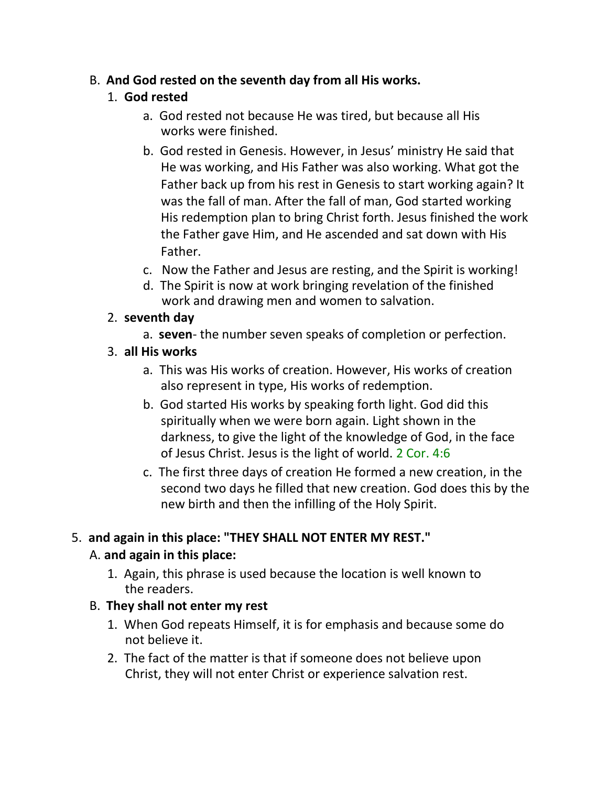## B. **And God rested on the seventh day from all His works.**

## 1. **God rested**

- a. God rested not because He was tired, but because all His works were finished.
- b. God rested in Genesis. However, in Jesus' ministry He said that He was working, and His Father was also working. What got the Father back up from his rest in Genesis to start working again? It was the fall of man. After the fall of man, God started working His redemption plan to bring Christ forth. Jesus finished the work the Father gave Him, and He ascended and sat down with His Father.
- c. Now the Father and Jesus are resting, and the Spirit is working!
- d. The Spirit is now at work bringing revelation of the finished work and drawing men and women to salvation.

## 2. **seventh day**

- a. **seven** the number seven speaks of completion or perfection.
- 3. **all His works**
	- a. This was His works of creation. However, His works of creation also represent in type, His works of redemption.
	- b. God started His works by speaking forth light. God did this spiritually when we were born again. Light shown in the darkness, to give the light of the knowledge of God, in the face of Jesus Christ. Jesus is the light of world. 2 Cor. 4:6
	- c. The first three days of creation He formed a new creation, in the second two days he filled that new creation. God does this by the new birth and then the infilling of the Holy Spirit.

# 5. **and again in this place: "THEY SHALL NOT ENTER MY REST."**

## A. **and again in this place:**

1. Again, this phrase is used because the location is well known to the readers.

## B. **They shall not enter my rest**

- 1. When God repeats Himself, it is for emphasis and because some do not believe it.
- 2. The fact of the matter is that if someone does not believe upon Christ, they will not enter Christ or experience salvation rest.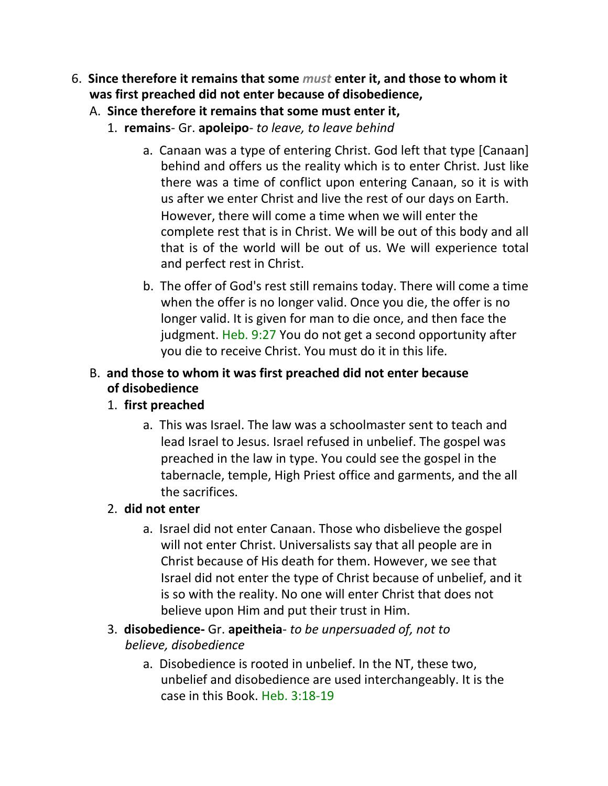- 6. **Since therefore it remains that some** *must* **enter it, and those to whom it was first preached did not enter because of disobedience,**
	- A. **Since therefore it remains that some must enter it,**
		- 1. **remains** Gr. **apoleipo** *to leave, to leave behind*
			- a. Canaan was a type of entering Christ. God left that type [Canaan] behind and offers us the reality which is to enter Christ. Just like there was a time of conflict upon entering Canaan, so it is with us after we enter Christ and live the rest of our days on Earth. However, there will come a time when we will enter the complete rest that is in Christ. We will be out of this body and all that is of the world will be out of us. We will experience total and perfect rest in Christ.
			- b. The offer of God's rest still remains today. There will come a time when the offer is no longer valid. Once you die, the offer is no longer valid. It is given for man to die once, and then face the judgment. Heb. 9:27 You do not get a second opportunity after you die to receive Christ. You must do it in this life.

## B. **and those to whom it was first preached did not enter because of disobedience**

## 1. **first preached**

a. This was Israel. The law was a schoolmaster sent to teach and lead Israel to Jesus. Israel refused in unbelief. The gospel was preached in the law in type. You could see the gospel in the tabernacle, temple, High Priest office and garments, and the all the sacrifices.

## 2. **did not enter**

- a. Israel did not enter Canaan. Those who disbelieve the gospel will not enter Christ. Universalists say that all people are in Christ because of His death for them. However, we see that Israel did not enter the type of Christ because of unbelief, and it is so with the reality. No one will enter Christ that does not believe upon Him and put their trust in Him.
- 3. **disobedience-** Gr. **apeitheia** *to be unpersuaded of, not to believe, disobedience*
	- a. Disobedience is rooted in unbelief. In the NT, these two, unbelief and disobedience are used interchangeably. It is the case in this Book. Heb. 3:18-19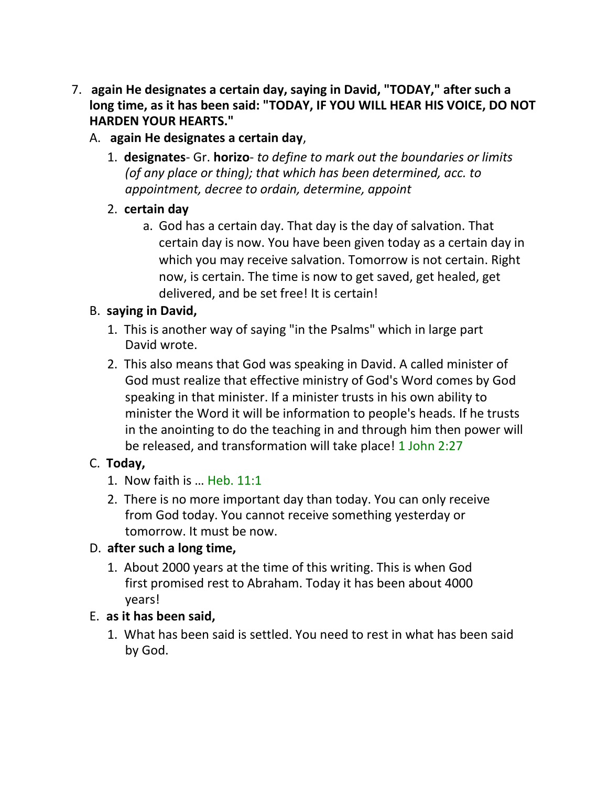- 7. **again He designates a certain day, saying in David, "TODAY," after such a long time, as it has been said: "TODAY, IF YOU WILL HEAR HIS VOICE, DO NOT HARDEN YOUR HEARTS."**
	- A. **again He designates a certain day**,
		- 1. **designates** Gr. **horizo** *to define to mark out the boundaries or limits (of any place or thing); that which has been determined, acc. to appointment, decree to ordain, determine, appoint*
		- 2. **certain day**
			- a. God has a certain day. That day is the day of salvation. That certain day is now. You have been given today as a certain day in which you may receive salvation. Tomorrow is not certain. Right now, is certain. The time is now to get saved, get healed, get delivered, and be set free! It is certain!

## B. **saying in David,**

- 1. This is another way of saying "in the Psalms" which in large part David wrote.
- 2. This also means that God was speaking in David. A called minister of God must realize that effective ministry of God's Word comes by God speaking in that minister. If a minister trusts in his own ability to minister the Word it will be information to people's heads. If he trusts in the anointing to do the teaching in and through him then power will be released, and transformation will take place! 1 John 2:27

## C. **Today,**

- 1. Now faith is … Heb. 11:1
- 2. There is no more important day than today. You can only receive from God today. You cannot receive something yesterday or tomorrow. It must be now.

## D. **after such a long time,**

1. About 2000 years at the time of this writing. This is when God first promised rest to Abraham. Today it has been about 4000 years!

## E. **as it has been said,**

1. What has been said is settled. You need to rest in what has been said by God.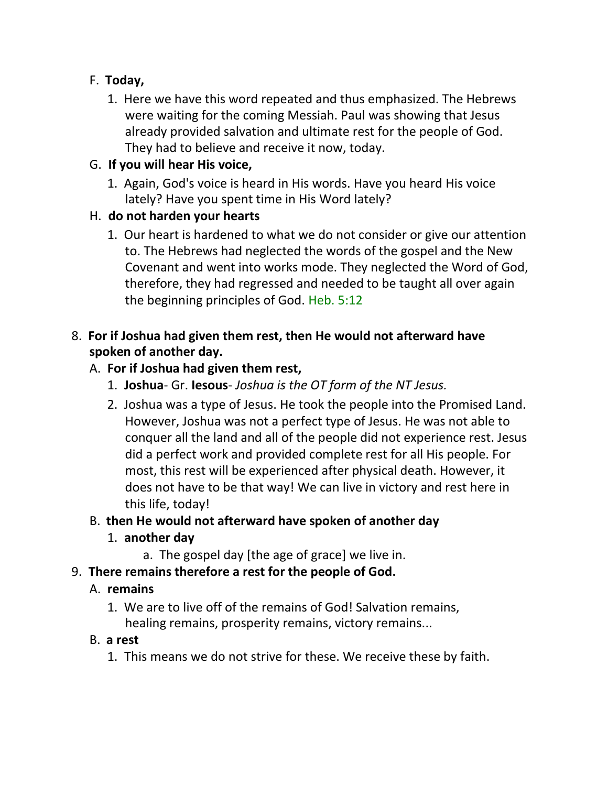## F. **Today,**

1. Here we have this word repeated and thus emphasized. The Hebrews were waiting for the coming Messiah. Paul was showing that Jesus already provided salvation and ultimate rest for the people of God. They had to believe and receive it now, today.

## G. **If you will hear His voice,**

1. Again, God's voice is heard in His words. Have you heard His voice lately? Have you spent time in His Word lately?

## H. **do not harden your hearts**

1. Our heart is hardened to what we do not consider or give our attention to. The Hebrews had neglected the words of the gospel and the New Covenant and went into works mode. They neglected the Word of God, therefore, they had regressed and needed to be taught all over again the beginning principles of God. Heb. 5:12

## 8. **For if Joshua had given them rest, then He would not afterward have spoken of another day.**

## A. **For if Joshua had given them rest,**

- 1. **Joshua** Gr. **Iesous** *Joshua is the OT form of the NT Jesus.*
- 2. Joshua was a type of Jesus. He took the people into the Promised Land. However, Joshua was not a perfect type of Jesus. He was not able to conquer all the land and all of the people did not experience rest. Jesus did a perfect work and provided complete rest for all His people. For most, this rest will be experienced after physical death. However, it does not have to be that way! We can live in victory and rest here in this life, today!

## B. **then He would not afterward have spoken of another day**

## 1. **another day**

a. The gospel day [the age of grace] we live in.

## 9. **There remains therefore a rest for the people of God.**

## A. **remains**

1. We are to live off of the remains of God! Salvation remains, healing remains, prosperity remains, victory remains...

## B. **a rest**

1. This means we do not strive for these. We receive these by faith.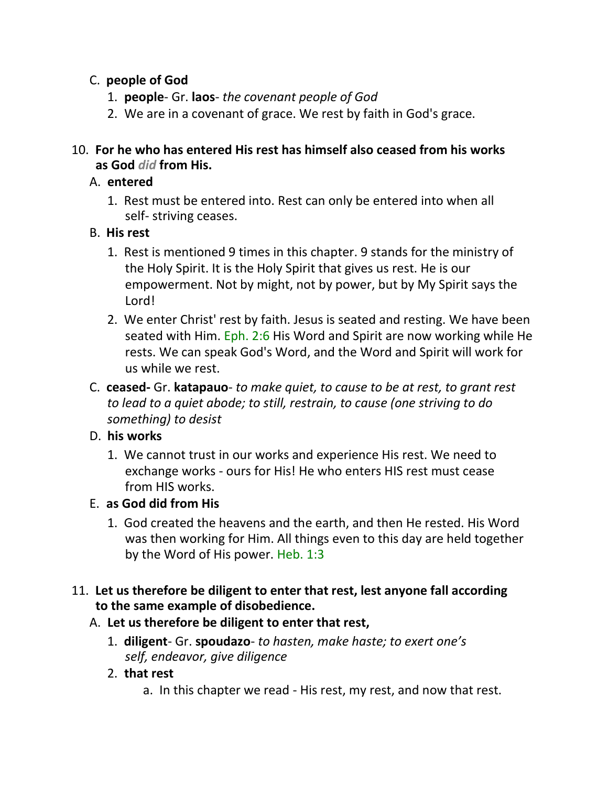## C. **people of God**

- 1. **people** Gr. **laos** *the covenant people of God*
- 2. We are in a covenant of grace. We rest by faith in God's grace.

#### 10. **For he who has entered His rest has himself also ceased from his works as God** *did* **from His.**

#### A. **entered**

1. Rest must be entered into. Rest can only be entered into when all self- striving ceases.

## B. **His rest**

- 1. Rest is mentioned 9 times in this chapter. 9 stands for the ministry of the Holy Spirit. It is the Holy Spirit that gives us rest. He is our empowerment. Not by might, not by power, but by My Spirit says the Lord!
- 2. We enter Christ' rest by faith. Jesus is seated and resting. We have been seated with Him. Eph. 2:6 His Word and Spirit are now working while He rests. We can speak God's Word, and the Word and Spirit will work for us while we rest.
- C. **ceased-** Gr. **katapauo** *to make quiet, to cause to be at rest, to grant rest to lead to a quiet abode; to still, restrain, to cause (one striving to do something) to desist*

## D. **his works**

1. We cannot trust in our works and experience His rest. We need to exchange works - ours for His! He who enters HIS rest must cease from HIS works.

## E. **as God did from His**

1. God created the heavens and the earth, and then He rested. His Word was then working for Him. All things even to this day are held together by the Word of His power. Heb. 1:3

## 11. **Let us therefore be diligent to enter that rest, lest anyone fall according to the same example of disobedience.**

## A. **Let us therefore be diligent to enter that rest,**

- 1. **diligent** Gr. **spoudazo** *to hasten, make haste; to exert one's self, endeavor, give diligence*
- 2. **that rest**
	- a. In this chapter we read His rest, my rest, and now that rest.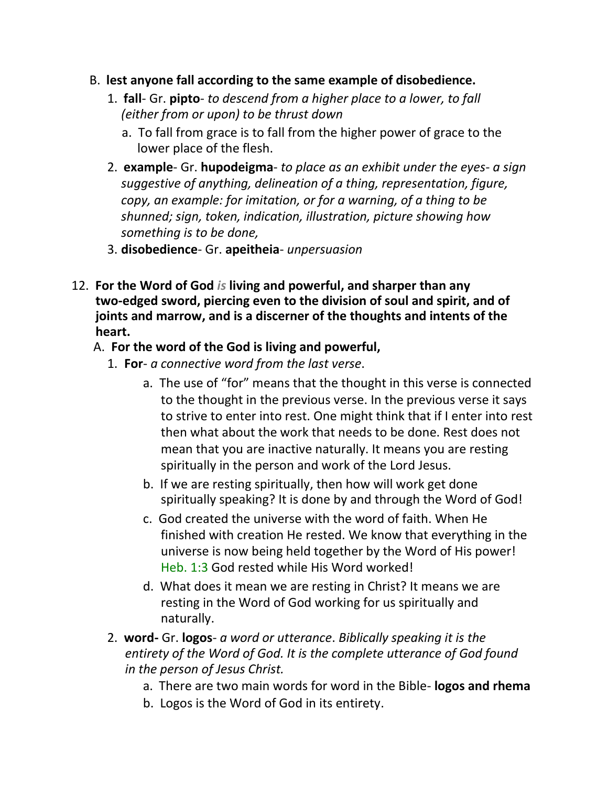- B. **lest anyone fall according to the same example of disobedience.**
	- 1. **fall** Gr. **pipto** *to descend from a higher place to a lower, to fall (either from or upon) to be thrust down*
		- a. To fall from grace is to fall from the higher power of grace to the lower place of the flesh.
	- 2. **example** Gr. **hupodeigma** *to place as an exhibit under the eyes- a sign suggestive of anything, delineation of a thing, representation, figure, copy, an example: for imitation, or for a warning, of a thing to be shunned; sign, token, indication, illustration, picture showing how something is to be done,*
	- 3. **disobedience** Gr. **apeitheia** *unpersuasion*
- 12. **For the Word of God** *is* **living and powerful, and sharper than any two-edged sword, piercing even to the division of soul and spirit, and of joints and marrow, and is a discerner of the thoughts and intents of the heart.**

#### A. **For the word of the God is living and powerful,**

- 1. **For** *a connective word from the last verse*.
	- a. The use of "for" means that the thought in this verse is connected to the thought in the previous verse. In the previous verse it says to strive to enter into rest. One might think that if I enter into rest then what about the work that needs to be done. Rest does not mean that you are inactive naturally. It means you are resting spiritually in the person and work of the Lord Jesus.
	- b. If we are resting spiritually, then how will work get done spiritually speaking? It is done by and through the Word of God!
	- c. God created the universe with the word of faith. When He finished with creation He rested. We know that everything in the universe is now being held together by the Word of His power! Heb. 1:3 God rested while His Word worked!
	- d. What does it mean we are resting in Christ? It means we are resting in the Word of God working for us spiritually and naturally.
- 2. **word-** Gr. **logos** *a word or utterance*. *Biblically speaking it is the entirety of the Word of God. It is the complete utterance of God found in the person of Jesus Christ.*
	- a. There are two main words for word in the Bible- **logos and rhema**
	- b. Logos is the Word of God in its entirety.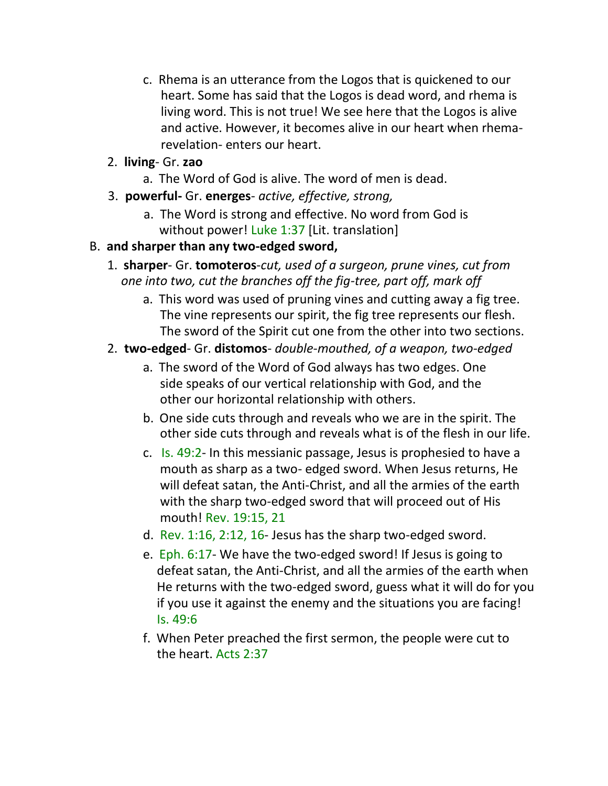- c. Rhema is an utterance from the Logos that is quickened to our heart. Some has said that the Logos is dead word, and rhema is living word. This is not true! We see here that the Logos is alive and active. However, it becomes alive in our heart when rhemarevelation- enters our heart.
- 2. **living** Gr. **zao**
	- a. The Word of God is alive. The word of men is dead.
- 3. **powerful-** Gr. **energes** *active, effective, strong,*
	- a. The Word is strong and effective. No word from God is without power! Luke 1:37 [Lit. translation]
- B. **and sharper than any two-edged sword,**
	- 1. **sharper** Gr. **tomoteros**-*cut, used of a surgeon, prune vines, cut from one into two, cut the branches off the fig-tree, part off, mark off*
		- a. This word was used of pruning vines and cutting away a fig tree. The vine represents our spirit, the fig tree represents our flesh. The sword of the Spirit cut one from the other into two sections.
	- 2. **two-edged** Gr. **distomos** *double-mouthed, of a weapon, two-edged*
		- a. The sword of the Word of God always has two edges. One side speaks of our vertical relationship with God, and the other our horizontal relationship with others.
		- b. One side cuts through and reveals who we are in the spirit. The other side cuts through and reveals what is of the flesh in our life.
		- c. Is. 49:2- In this messianic passage, Jesus is prophesied to have a mouth as sharp as a two- edged sword. When Jesus returns, He will defeat satan, the Anti-Christ, and all the armies of the earth with the sharp two-edged sword that will proceed out of His mouth! Rev. 19:15, 21
		- d. Rev. 1:16, 2:12, 16- Jesus has the sharp two-edged sword.
		- e. Eph. 6:17- We have the two-edged sword! If Jesus is going to defeat satan, the Anti-Christ, and all the armies of the earth when He returns with the two-edged sword, guess what it will do for you if you use it against the enemy and the situations you are facing! Is. 49:6
		- f. When Peter preached the first sermon, the people were cut to the heart. Acts 2:37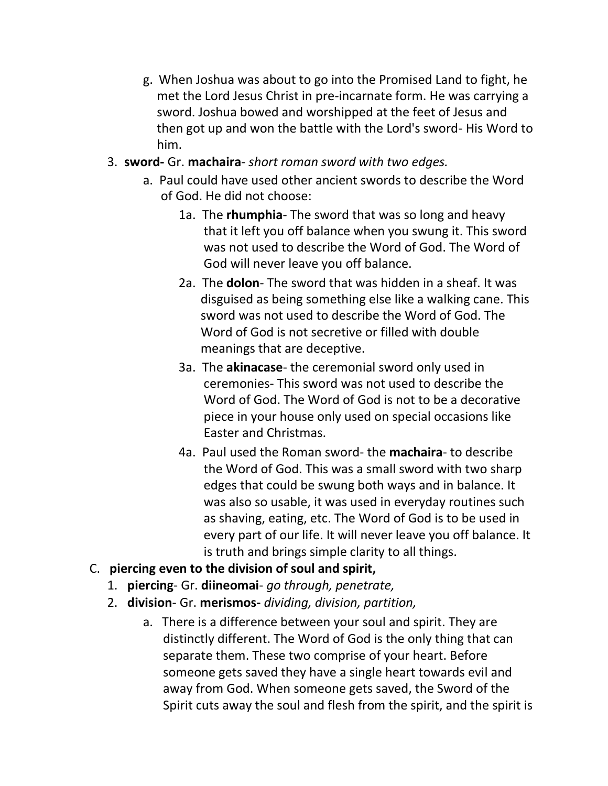- g. When Joshua was about to go into the Promised Land to fight, he met the Lord Jesus Christ in pre-incarnate form. He was carrying a sword. Joshua bowed and worshipped at the feet of Jesus and then got up and won the battle with the Lord's sword- His Word to him.
- 3. **sword-** Gr. **machaira** *short roman sword with two edges.*
	- a. Paul could have used other ancient swords to describe the Word of God. He did not choose:
		- 1a. The **rhumphia** The sword that was so long and heavy that it left you off balance when you swung it. This sword was not used to describe the Word of God. The Word of God will never leave you off balance.
		- 2a. The **dolon** The sword that was hidden in a sheaf. It was disguised as being something else like a walking cane. This sword was not used to describe the Word of God. The Word of God is not secretive or filled with double meanings that are deceptive.
		- 3a. The **akinacase** the ceremonial sword only used in ceremonies- This sword was not used to describe the Word of God. The Word of God is not to be a decorative piece in your house only used on special occasions like Easter and Christmas.
		- 4a. Paul used the Roman sword- the **machaira** to describe the Word of God. This was a small sword with two sharp edges that could be swung both ways and in balance. It was also so usable, it was used in everyday routines such as shaving, eating, etc. The Word of God is to be used in every part of our life. It will never leave you off balance. It is truth and brings simple clarity to all things.
- C. **piercing even to the division of soul and spirit,**
	- 1. **piercing** Gr. **diineomai** *go through, penetrate,*
	- 2. **division** Gr. **merismos-** *dividing, division, partition,*
		- a. There is a difference between your soul and spirit. They are distinctly different. The Word of God is the only thing that can separate them. These two comprise of your heart. Before someone gets saved they have a single heart towards evil and away from God. When someone gets saved, the Sword of the Spirit cuts away the soul and flesh from the spirit, and the spirit is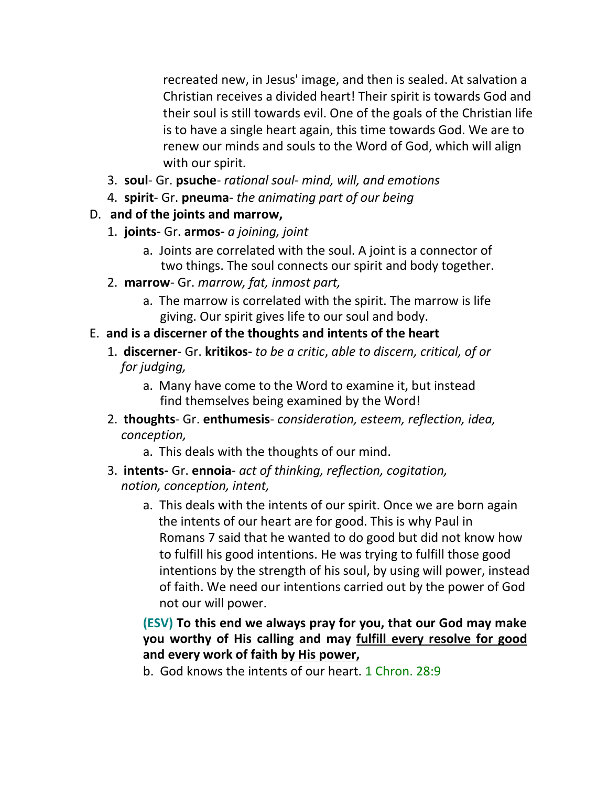recreated new, in Jesus' image, and then is sealed. At salvation a Christian receives a divided heart! Their spirit is towards God and their soul is still towards evil. One of the goals of the Christian life is to have a single heart again, this time towards God. We are to renew our minds and souls to the Word of God, which will align with our spirit.

- 3. **soul** Gr. **psuche** *rational soul- mind, will, and emotions*
- 4. **spirit** Gr. **pneuma** *the animating part of our being*

## D. **and of the joints and marrow,**

- 1. **joints** Gr. **armos-** *a joining, joint*
	- a. Joints are correlated with the soul. A joint is a connector of two things. The soul connects our spirit and body together.
- 2. **marrow** Gr. *marrow, fat, inmost part,*
	- a. The marrow is correlated with the spirit. The marrow is life giving. Our spirit gives life to our soul and body.

## E. **and is a discerner of the thoughts and intents of the heart**

- 1. **discerner** Gr. **kritikos-** *to be a critic*, *able to discern, critical, of or for judging,*
	- a. Many have come to the Word to examine it, but instead find themselves being examined by the Word!
- 2. **thoughts** Gr. **enthumesis** *consideration, esteem, reflection, idea, conception,*
	- a. This deals with the thoughts of our mind.
- 3. **intents-** Gr. **ennoia** *act of thinking, reflection, cogitation, notion, conception, intent,*
	- a. This deals with the intents of our spirit. Once we are born again the intents of our heart are for good. This is why Paul in Romans 7 said that he wanted to do good but did not know how to fulfill his good intentions. He was trying to fulfill those good intentions by the strength of his soul, by using will power, instead of faith. We need our intentions carried out by the power of God not our will power.

## **(ESV) To this end we always pray for you, that our God may make you worthy of His calling and may fulfill every resolve for good and every work of faith by His power,**

b. God knows the intents of our heart. 1 Chron. 28:9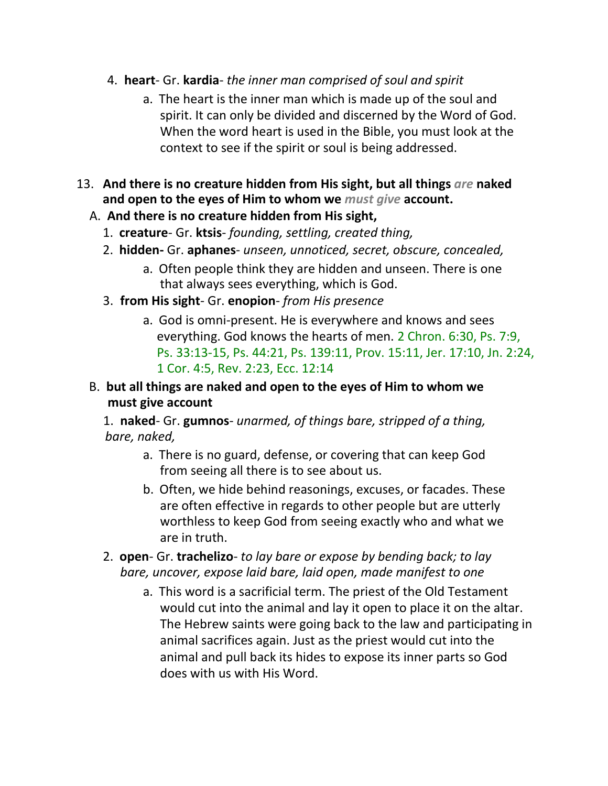- 4. **heart** Gr. **kardia** *the inner man comprised of soul and spirit*
	- a. The heart is the inner man which is made up of the soul and spirit. It can only be divided and discerned by the Word of God. When the word heart is used in the Bible, you must look at the context to see if the spirit or soul is being addressed.
- 13. **And there is no creature hidden from His sight, but all things** *are* **naked and open to the eyes of Him to whom we** *must give* **account.**
	- A. **And there is no creature hidden from His sight,**
		- 1. **creature** Gr. **ktsis** *founding, settling, created thing,*
		- 2. **hidden-** Gr. **aphanes** *unseen, unnoticed, secret, obscure, concealed,*
			- a. Often people think they are hidden and unseen. There is one that always sees everything, which is God.
		- 3. **from His sight** Gr. **enopion** *from His presence*
			- a. God is omni-present. He is everywhere and knows and sees everything. God knows the hearts of men. 2 Chron. 6:30, Ps. 7:9, Ps. 33:13-15, Ps. 44:21, Ps. 139:11, Prov. 15:11, Jer. 17:10, Jn. 2:24, 1 Cor. 4:5, Rev. 2:23, Ecc. 12:14
	- B. **but all things are naked and open to the eyes of Him to whom we must give account**

1. **naked**- Gr. **gumnos**- *unarmed, of things bare, stripped of a thing, bare, naked,*

- a. There is no guard, defense, or covering that can keep God from seeing all there is to see about us.
- b. Often, we hide behind reasonings, excuses, or facades. These are often effective in regards to other people but are utterly worthless to keep God from seeing exactly who and what we are in truth.
- 2. **open** Gr. **trachelizo** *to lay bare or expose by bending back; to lay bare, uncover, expose laid bare, laid open, made manifest to one*
	- a. This word is a sacrificial term. The priest of the Old Testament would cut into the animal and lay it open to place it on the altar. The Hebrew saints were going back to the law and participating in animal sacrifices again. Just as the priest would cut into the animal and pull back its hides to expose its inner parts so God does with us with His Word.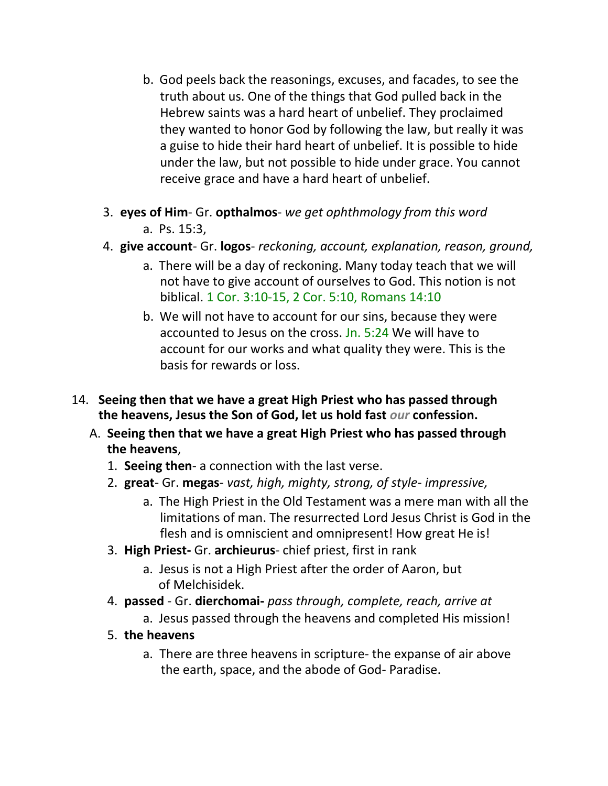- b. God peels back the reasonings, excuses, and facades, to see the truth about us. One of the things that God pulled back in the Hebrew saints was a hard heart of unbelief. They proclaimed they wanted to honor God by following the law, but really it was a guise to hide their hard heart of unbelief. It is possible to hide under the law, but not possible to hide under grace. You cannot receive grace and have a hard heart of unbelief.
- 3. **eyes of Him** Gr. **opthalmos** *we get ophthmology from this word* a. Ps. 15:3,
- 4. **give account** Gr. **logos** *reckoning, account, explanation, reason, ground,*
	- a. There will be a day of reckoning. Many today teach that we will not have to give account of ourselves to God. This notion is not biblical. 1 Cor. 3:10-15, 2 Cor. 5:10, Romans 14:10
	- b. We will not have to account for our sins, because they were accounted to Jesus on the cross. Jn. 5:24 We will have to account for our works and what quality they were. This is the basis for rewards or loss.
- 14. **Seeing then that we have a great High Priest who has passed through the heavens, Jesus the Son of God, let us hold fast** *our* **confession.**
	- A. **Seeing then that we have a great High Priest who has passed through the heavens**,
		- 1. **Seeing then** a connection with the last verse.
		- 2. **great** Gr. **megas** *vast, high, mighty, strong, of style- impressive,*
			- a. The High Priest in the Old Testament was a mere man with all the limitations of man. The resurrected Lord Jesus Christ is God in the flesh and is omniscient and omnipresent! How great He is!
		- 3. **High Priest-** Gr. **archieurus** chief priest, first in rank
			- a. Jesus is not a High Priest after the order of Aaron, but of Melchisidek.
		- 4. **passed**  Gr. **dierchomai-** *pass through, complete, reach, arrive at*
			- a. Jesus passed through the heavens and completed His mission!
		- 5. **the heavens**
			- a. There are three heavens in scripture- the expanse of air above the earth, space, and the abode of God- Paradise.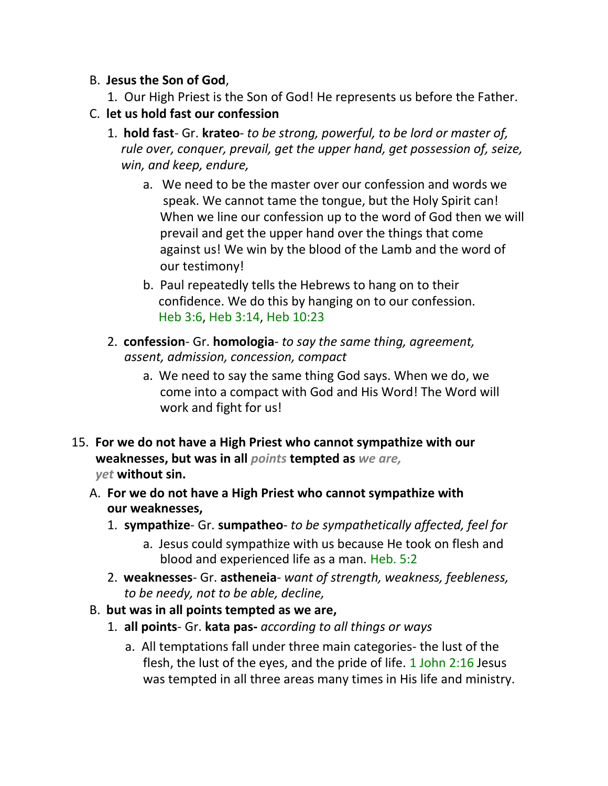#### B. **Jesus the Son of God**,

1. Our High Priest is the Son of God! He represents us before the Father.

#### C. **let us hold fast our confession**

- 1. **hold fast** Gr. **krateo** *to be strong, powerful, to be lord or master of, rule over, conquer, prevail, get the upper hand, get possession of, seize, win, and keep, endure,*
	- a. We need to be the master over our confession and words we speak. We cannot tame the tongue, but the Holy Spirit can! When we line our confession up to the word of God then we will prevail and get the upper hand over the things that come against us! We win by the blood of the Lamb and the word of our testimony!
	- b. Paul repeatedly tells the Hebrews to hang on to their confidence. We do this by hanging on to our confession. Heb 3:6, Heb 3:14, Heb 10:23
- 2. **confession** Gr. **homologia** *to say the same thing, agreement, assent, admission, concession, compact*
	- a. We need to say the same thing God says. When we do, we come into a compact with God and His Word! The Word will work and fight for us!
- 15. **For we do not have a High Priest who cannot sympathize with our weaknesses, but was in all** *points* **tempted as** *we are, yet* **without sin.**
	- A. **For we do not have a High Priest who cannot sympathize with our weaknesses,**
		- 1. **sympathize** Gr. **sumpatheo** *to be sympathetically affected, feel for*
			- a. Jesus could sympathize with us because He took on flesh and blood and experienced life as a man. Heb. 5:2
		- 2. **weaknesses** Gr. **astheneia** *want of strength, weakness, feebleness, to be needy, not to be able, decline,*
	- B. **but was in all points tempted as we are,**
		- 1. **all points** Gr. **kata pas-** *according to all things or ways*
			- a. All temptations fall under three main categories- the lust of the flesh, the lust of the eyes, and the pride of life. 1 John 2:16 Jesus was tempted in all three areas many times in His life and ministry.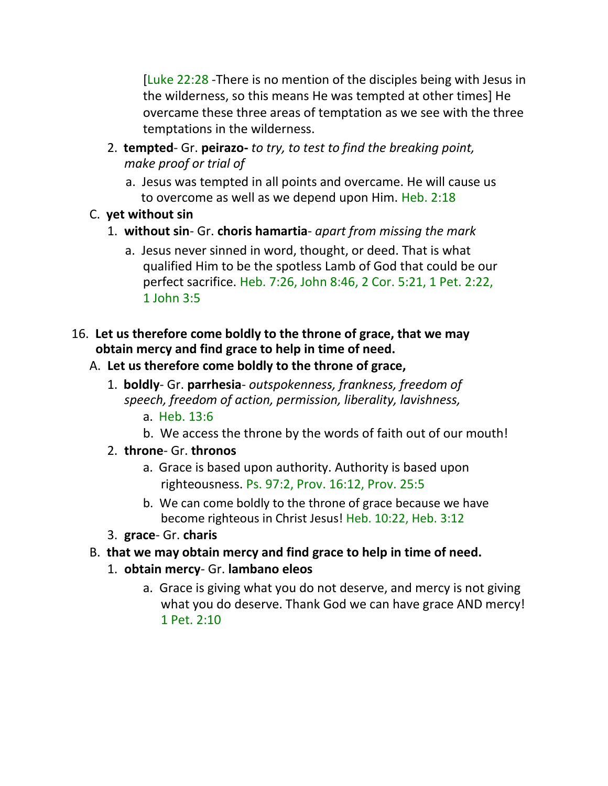[Luke 22:28 -There is no mention of the disciples being with Jesus in the wilderness, so this means He was tempted at other times] He overcame these three areas of temptation as we see with the three temptations in the wilderness.

- 2. **tempted** Gr. **peirazo-** *to try, to test to find the breaking point, make proof or trial of*
	- a. Jesus was tempted in all points and overcame. He will cause us to overcome as well as we depend upon Him. Heb. 2:18
- C. **yet without sin**
	- 1. **without sin** Gr. **choris hamartia** *apart from missing the mark*
		- a. Jesus never sinned in word, thought, or deed. That is what qualified Him to be the spotless Lamb of God that could be our perfect sacrifice. Heb. 7:26, John 8:46, 2 Cor. 5:21, 1 Pet. 2:22, 1 John 3:5

#### 16. **Let us therefore come boldly to the throne of grace, that we may obtain mercy and find grace to help in time of need.**

## A. **Let us therefore come boldly to the throne of grace,**

- 1. **boldly** Gr. **parrhesia** *outspokenness, frankness, freedom of speech, freedom of action, permission, liberality, lavishness,*
	- a. Heb. 13:6
	- b. We access the throne by the words of faith out of our mouth!
- 2. **throne** Gr. **thronos**
	- a. Grace is based upon authority. Authority is based upon righteousness. Ps. 97:2, Prov. 16:12, Prov. 25:5
	- b. We can come boldly to the throne of grace because we have become righteous in Christ Jesus! Heb. 10:22, Heb. 3:12
- 3. **grace** Gr. **charis**
- B. **that we may obtain mercy and find grace to help in time of need.**
	- 1. **obtain mercy** Gr. **lambano eleos**
		- a. Grace is giving what you do not deserve, and mercy is not giving what you do deserve. Thank God we can have grace AND mercy! 1 Pet. 2:10